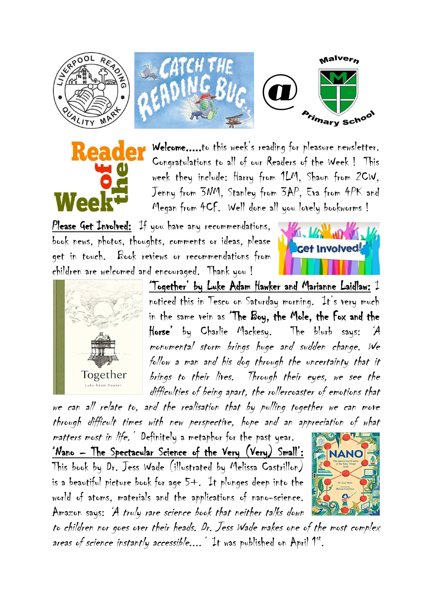







Welcome.....to this week's reading for pleasure newsletter. Congratulations to all of our Readers of the Week ! This week they include: Harry from 1LM, Shaun from 2CW, Jenny from 3NM, Stanley from 3AP, Eva from 4PK and Megan from 4CF. Well done all you lovely bookworms !

Please Get Involved: If you have any recommendations, book news, photos, thoughts, comments or ideas, please get in touch. Book reviews or recommendations from children are welcomed and encouraged. Thank you !





'Together' by Luke Adam Hawker and Marianne Laidlaw: I noticed this in Tesco on Saturday morning. It's very much in the same vein as 'The Boy, the Mole, the Fox and the Horse' by Charlie Mackesy. The blurb says: 'A monumental storm brings huge and sudden change. We follow a man and his dog through the uncertainty that it brings to their lives. Through their eyes, we see the difficulties of being apart, the rollercoaster of emotions that

we can all relate to, and the realisation that by pulling together we can move through difficult times with new perspective, hope and an appreciation of what

matters most in life. Definitely a metaphor for the past year. 'Nano – The Spectacular Science of the Very (Very) Small': This book by Dr. Jess Wade (illustrated by Melissa Castrillon) is a beautiful picture book for age 5+. It plunges deep into the world of atoms, materials and the applications of nano-science. Amazon says: 'A truly rare science book that neither talks down



to children nor goes over their heads. Dr. Jess Wade makes one of the most complex areas of science instantly accessible.... Tt was published on April 1st.